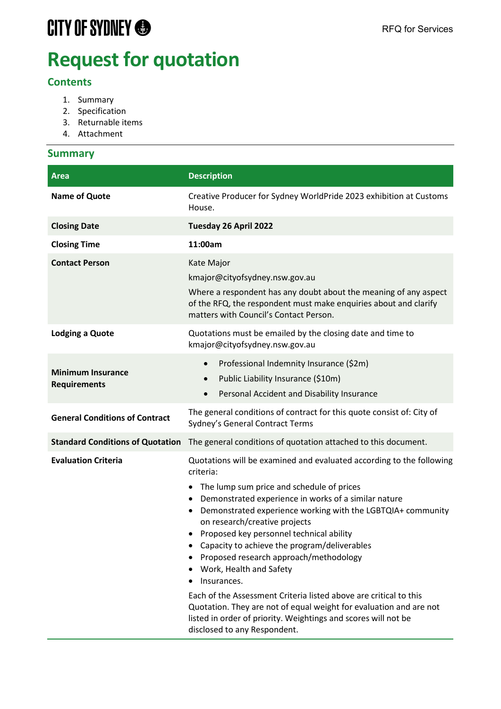## **CITY OF SYDNEY ®**

# **Request for quotation**

## **Contents**

- 1. Summary
- 2. Specification
- 3. Returnable items
- 4. Attachment

## **Summary**

| <b>Area</b>                                     | <b>Description</b>                                                                                                                                                                                                                                                                                                                                                                                                                                                                                                                                                                                                                                                                                                    |  |  |
|-------------------------------------------------|-----------------------------------------------------------------------------------------------------------------------------------------------------------------------------------------------------------------------------------------------------------------------------------------------------------------------------------------------------------------------------------------------------------------------------------------------------------------------------------------------------------------------------------------------------------------------------------------------------------------------------------------------------------------------------------------------------------------------|--|--|
| <b>Name of Quote</b>                            | Creative Producer for Sydney WorldPride 2023 exhibition at Customs<br>House.                                                                                                                                                                                                                                                                                                                                                                                                                                                                                                                                                                                                                                          |  |  |
| <b>Closing Date</b>                             | Tuesday 26 April 2022                                                                                                                                                                                                                                                                                                                                                                                                                                                                                                                                                                                                                                                                                                 |  |  |
| <b>Closing Time</b>                             | 11:00am                                                                                                                                                                                                                                                                                                                                                                                                                                                                                                                                                                                                                                                                                                               |  |  |
| <b>Contact Person</b>                           | Kate Major<br>kmajor@cityofsydney.nsw.gov.au<br>Where a respondent has any doubt about the meaning of any aspect<br>of the RFQ, the respondent must make enquiries about and clarify<br>matters with Council's Contact Person.                                                                                                                                                                                                                                                                                                                                                                                                                                                                                        |  |  |
| <b>Lodging a Quote</b>                          | Quotations must be emailed by the closing date and time to<br>kmajor@cityofsydney.nsw.gov.au                                                                                                                                                                                                                                                                                                                                                                                                                                                                                                                                                                                                                          |  |  |
| <b>Minimum Insurance</b><br><b>Requirements</b> | Professional Indemnity Insurance (\$2m)<br>$\bullet$<br>Public Liability Insurance (\$10m)<br>$\bullet$<br>Personal Accident and Disability Insurance<br>$\bullet$                                                                                                                                                                                                                                                                                                                                                                                                                                                                                                                                                    |  |  |
| <b>General Conditions of Contract</b>           | The general conditions of contract for this quote consist of: City of<br>Sydney's General Contract Terms                                                                                                                                                                                                                                                                                                                                                                                                                                                                                                                                                                                                              |  |  |
| <b>Standard Conditions of Quotation</b>         | The general conditions of quotation attached to this document.                                                                                                                                                                                                                                                                                                                                                                                                                                                                                                                                                                                                                                                        |  |  |
| <b>Evaluation Criteria</b>                      | Quotations will be examined and evaluated according to the following<br>criteria:<br>The lump sum price and schedule of prices<br>Demonstrated experience in works of a similar nature<br>Demonstrated experience working with the LGBTQIA+ community<br>on research/creative projects<br>Proposed key personnel technical ability<br>• Capacity to achieve the program/deliverables<br>Proposed research approach/methodology<br>Work, Health and Safety<br>Insurances.<br>Each of the Assessment Criteria listed above are critical to this<br>Quotation. They are not of equal weight for evaluation and are not<br>listed in order of priority. Weightings and scores will not be<br>disclosed to any Respondent. |  |  |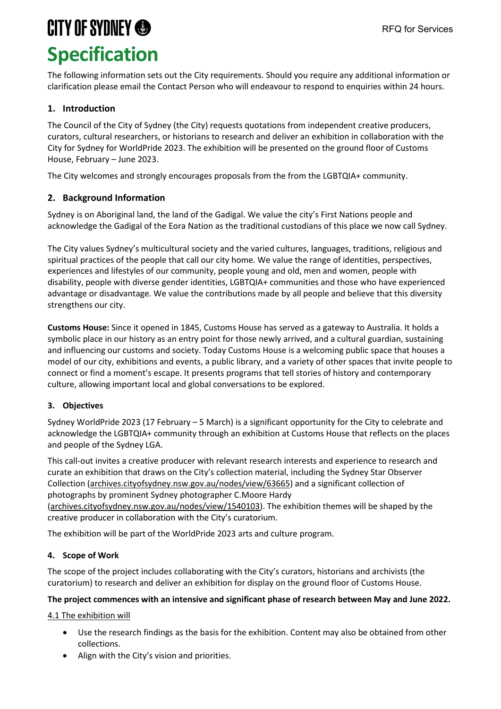## **CITY OF SYDNEY ® Specification**

The following information sets out the City requirements. Should you require any additional information or clarification please email the Contact Person who will endeavour to respond to enquiries within 24 hours.

## **1. Introduction**

The Council of the City of Sydney (the City) requests quotations from independent creative producers, curators, cultural researchers, or historians to research and deliver an exhibition in collaboration with the City for Sydney for WorldPride 2023. The exhibition will be presented on the ground floor of Customs House, February – June 2023.

The City welcomes and strongly encourages proposals from the from the LGBTQIA+ community.

## **2. Background Information**

Sydney is on Aboriginal land, the land of the Gadigal. We value the city's First Nations people and acknowledge the Gadigal of the Eora Nation as the traditional custodians of this place we now call Sydney.

The City values Sydney's multicultural society and the varied cultures, languages, traditions, religious and spiritual practices of the people that call our city home. We value the range of identities, perspectives, experiences and lifestyles of our community, people young and old, men and women, people with disability, people with diverse gender identities, LGBTQIA+ communities and those who have experienced advantage or disadvantage. We value the contributions made by all people and believe that this diversity strengthens our city.

**Customs House:** Since it opened in 1845, Customs House has served as a gateway to Australia. It holds a symbolic place in our history as an entry point for those newly arrived, and a cultural guardian, sustaining and influencing our customs and society. Today Customs House is a welcoming public space that houses a model of our city, exhibitions and events, a public library, and a variety of other spaces that invite people to connect or find a moment's escape. It presents programs that tell stories of history and contemporary culture, allowing important local and global conversations to be explored.

## **3. Objectives**

Sydney WorldPride 2023 (17 February – 5 March) is a significant opportunity for the City to celebrate and acknowledge the LGBTQIA+ community through an exhibition at Customs House that reflects on the places and people of the Sydney LGA.

This call-out invites a creative producer with relevant research interests and experience to research and curate an exhibition that draws on the City's collection material, including the Sydney Star Observer Collection [\(archives.cityofsydney.nsw.gov.au/nodes/view/63665\)](https://archives.cityofsydney.nsw.gov.au/nodes/view/63665) and a significant collection of photographs by prominent Sydney photographer C.Moore Hardy

[\(archives.cityofsydney.nsw.gov.au/nodes/view/1540103\)](https://archives.cityofsydney.nsw.gov.au/nodes/view/1540103). The exhibition themes will be shaped by the creative producer in collaboration with the City's curatorium.

The exhibition will be part of the WorldPride 2023 arts and culture program.

## **4. Scope of Work**

The scope of the project includes collaborating with the City's curators, historians and archivists (the curatorium) to research and deliver an exhibition for display on the ground floor of Customs House.

## **The project commences with an intensive and significant phase of research between May and June 2022.**

4.1 The exhibition will

- Use the research findings as the basis for the exhibition. Content may also be obtained from other collections.
- Align with the City's vision and priorities.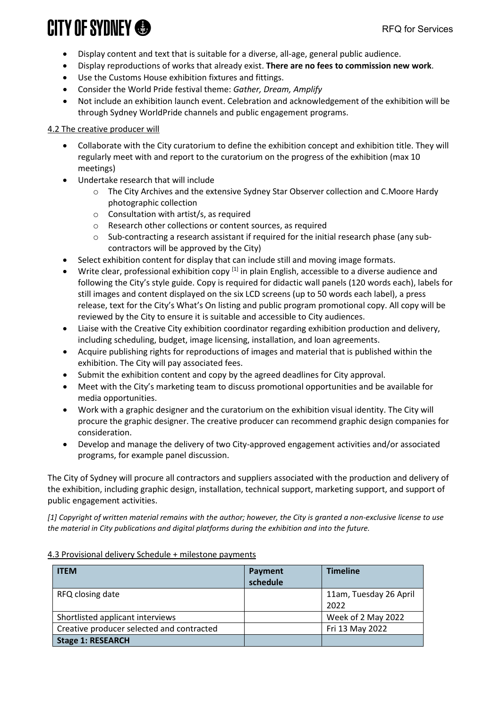# **CITY OF SYDNEY**

- Display content and text that is suitable for a diverse, all-age, general public audience.
- Display reproductions of works that already exist. **There are no fees to commission new work**.
- Use the Customs House exhibition fixtures and fittings.
- Consider the World Pride festival theme: *Gather, Dream, Amplify*
- Not include an exhibition launch event. Celebration and acknowledgement of the exhibition will be through Sydney WorldPride channels and public engagement programs.

### 4.2 The creative producer will

- Collaborate with the City curatorium to define the exhibition concept and exhibition title. They will regularly meet with and report to the curatorium on the progress of the exhibition (max 10 meetings)
- Undertake research that will include
	- o The City Archives and the extensive Sydney Star Observer collection and C.Moore Hardy photographic collection
	- o Consultation with artist/s, as required
	- o Research other collections or content sources, as required
	- o Sub-contracting a research assistant if required for the initial research phase (any subcontractors will be approved by the City)
- Select exhibition content for display that can include still and moving image formats.
- Write clear, professional exhibition copy [1] in plain English, accessible to a diverse audience and following the City's style guide. Copy is required for didactic wall panels (120 words each), labels for still images and content displayed on the six LCD screens (up to 50 words each label), a press release, text for the City's What's On listing and public program promotional copy. All copy will be reviewed by the City to ensure it is suitable and accessible to City audiences.
- Liaise with the Creative City exhibition coordinator regarding exhibition production and delivery, including scheduling, budget, image licensing, installation, and loan agreements.
- Acquire publishing rights for reproductions of images and material that is published within the exhibition. The City will pay associated fees.
- Submit the exhibition content and copy by the agreed deadlines for City approval.
- Meet with the City's marketing team to discuss promotional opportunities and be available for media opportunities.
- Work with a graphic designer and the curatorium on the exhibition visual identity. The City will procure the graphic designer. The creative producer can recommend graphic design companies for consideration.
- Develop and manage the delivery of two City-approved engagement activities and/or associated programs, for example panel discussion.

The City of Sydney will procure all contractors and suppliers associated with the production and delivery of the exhibition, including graphic design, installation, technical support, marketing support, and support of public engagement activities.

*[1] Copyright of written material remains with the author; however, the City is granted a non-exclusive license to use the material in City publications and digital platforms during the exhibition and into the future.*

| <b>ITEM</b>                               | Payment<br>schedule | <b>Timeline</b>                |
|-------------------------------------------|---------------------|--------------------------------|
| RFQ closing date                          |                     | 11am, Tuesday 26 April<br>2022 |
| Shortlisted applicant interviews          |                     | Week of 2 May 2022             |
| Creative producer selected and contracted |                     | Fri 13 May 2022                |
| <b>Stage 1: RESEARCH</b>                  |                     |                                |

#### 4.3 Provisional delivery Schedule + milestone payments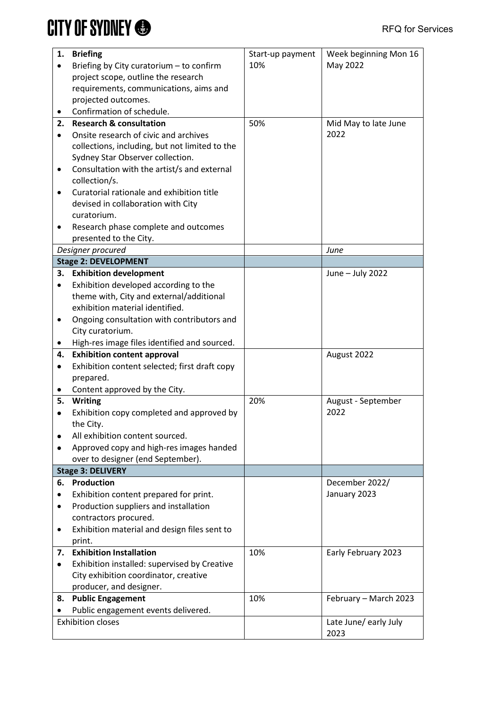# **CITY OF SYDNEY <>>**

|           | 1. Briefing                                                           | Start-up payment | Week beginning Mon 16 |
|-----------|-----------------------------------------------------------------------|------------------|-----------------------|
| ٠         | Briefing by City curatorium - to confirm                              | 10%              | May 2022              |
|           | project scope, outline the research                                   |                  |                       |
|           | requirements, communications, aims and                                |                  |                       |
|           | projected outcomes.                                                   |                  |                       |
| ٠         | Confirmation of schedule.                                             |                  |                       |
| 2.        | <b>Research &amp; consultation</b>                                    | 50%              | Mid May to late June  |
| $\bullet$ | Onsite research of civic and archives                                 |                  | 2022                  |
|           | collections, including, but not limited to the                        |                  |                       |
|           | Sydney Star Observer collection.                                      |                  |                       |
| ٠         | Consultation with the artist/s and external                           |                  |                       |
|           | collection/s.                                                         |                  |                       |
| ٠         | Curatorial rationale and exhibition title                             |                  |                       |
|           | devised in collaboration with City                                    |                  |                       |
|           | curatorium.                                                           |                  |                       |
|           | Research phase complete and outcomes                                  |                  |                       |
|           | presented to the City.                                                |                  |                       |
|           | Designer procured<br><b>Stage 2: DEVELOPMENT</b>                      |                  | June                  |
|           | 3. Exhibition development                                             |                  | June - July 2022      |
| $\bullet$ | Exhibition developed according to the                                 |                  |                       |
|           | theme with, City and external/additional                              |                  |                       |
|           | exhibition material identified.                                       |                  |                       |
| ٠         | Ongoing consultation with contributors and                            |                  |                       |
|           | City curatorium.                                                      |                  |                       |
| ٠         | High-res image files identified and sourced.                          |                  |                       |
| 4.        | <b>Exhibition content approval</b>                                    |                  | August 2022           |
| $\bullet$ | Exhibition content selected; first draft copy                         |                  |                       |
|           | prepared.                                                             |                  |                       |
| ٠         | Content approved by the City.                                         |                  |                       |
| 5.        | Writing                                                               | 20%              | August - September    |
| $\bullet$ | Exhibition copy completed and approved by                             |                  | 2022                  |
|           | the City.                                                             |                  |                       |
|           | All exhibition content sourced.                                       |                  |                       |
|           | Approved copy and high-res images handed                              |                  |                       |
|           | over to designer (end September).                                     |                  |                       |
|           | <b>Stage 3: DELIVERY</b>                                              |                  |                       |
| 6.        | Production                                                            |                  | December 2022/        |
| ٠         | Exhibition content prepared for print.                                |                  | January 2023          |
| $\bullet$ | Production suppliers and installation                                 |                  |                       |
| ٠         | contractors procured.<br>Exhibition material and design files sent to |                  |                       |
|           | print.                                                                |                  |                       |
| 7.        | <b>Exhibition Installation</b>                                        | 10%              | Early February 2023   |
| ٠         | Exhibition installed: supervised by Creative                          |                  |                       |
|           | City exhibition coordinator, creative                                 |                  |                       |
|           | producer, and designer.                                               |                  |                       |
| 8.        | <b>Public Engagement</b>                                              | 10%              | February - March 2023 |
|           | Public engagement events delivered.                                   |                  |                       |
|           | <b>Exhibition closes</b>                                              |                  | Late June/ early July |
|           |                                                                       |                  | 2023                  |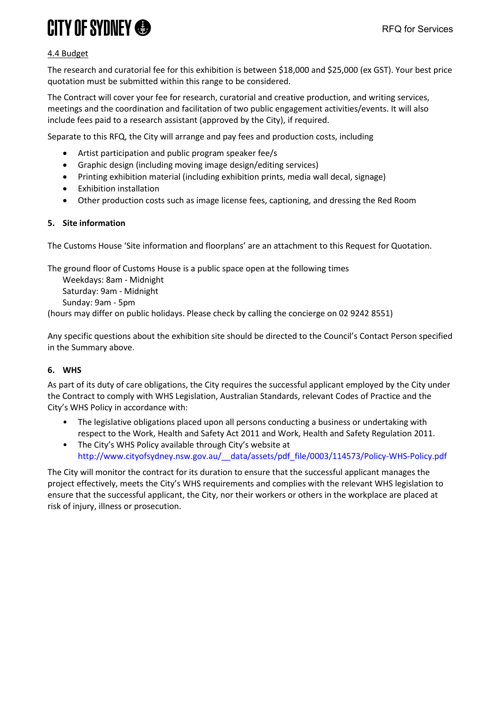## **CITY OF SYDNEY ®**

## 4.4 Budget

The research and curatorial fee for this exhibition is between \$18,000 and \$25,000 (ex GST). Your best price quotation must be submitted within this range to be considered.

The Contract will cover your fee for research, curatorial and creative production, and writing services, meetings and the coordination and facilitation of two public engagement activities/events. It will also include fees paid to a research assistant (approved by the City), if required.

Separate to this RFQ, the City will arrange and pay fees and production costs, including

- Artist participation and public program speaker fee/s
- Graphic design (including moving image design/editing services)
- Printing exhibition material (including exhibition prints, media wall decal, signage)
- Exhibition installation
- Other production costs such as image license fees, captioning, and dressing the Red Room

## **5. Site information**

The Customs House 'Site information and floorplans' are an attachment to this Request for Quotation.

The ground floor of Customs House is a public space open at the following times

Weekdays: 8am - Midnight Saturday: 9am - Midnight Sunday: 9am - 5pm

(hours may differ on public holidays. Please check by calling the concierge on 02 9242 8551)

Any specific questions about the exhibition site should be directed to the Council's Contact Person specified in the Summary above.

#### **6. WHS**

As part of its duty of care obligations, the City requires the successful applicant employed by the City under the Contract to comply with WHS Legislation, Australian Standards, relevant Codes of Practice and the City's WHS Policy in accordance with:

- The legislative obligations placed upon all persons conducting a business or undertaking with respect to the Work, Health and Safety Act 2011 and Work, Health and Safety Regulation 2011.
- The City's WHS Policy available through City's website at http://www.cityofsydney.nsw.gov.au/\_\_data/assets/pdf\_file/0003/114573/Policy-WHS-Policy.pdf

The City will monitor the contract for its duration to ensure that the successful applicant manages the project effectively, meets the City's WHS requirements and complies with the relevant WHS legislation to ensure that the successful applicant, the City, nor their workers or others in the workplace are placed at risk of injury, illness or prosecution.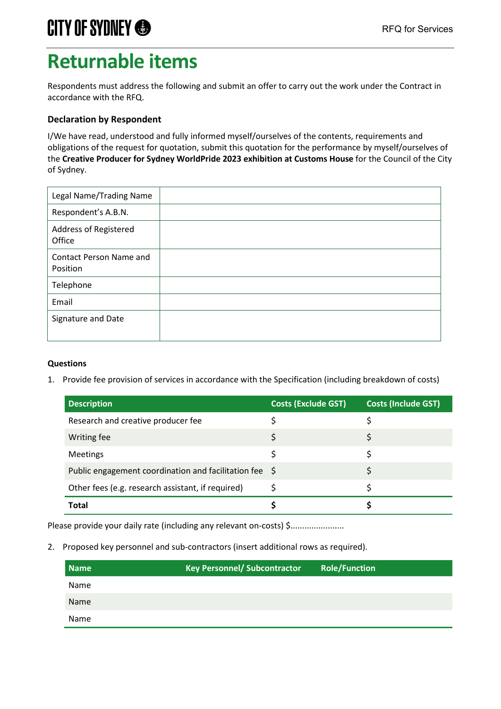## **Returnable items**

Respondents must address the following and submit an offer to carry out the work under the Contract in accordance with the RFQ.

## **Declaration by Respondent**

I/We have read, understood and fully informed myself/ourselves of the contents, requirements and obligations of the request for quotation, submit this quotation for the performance by myself/ourselves of the **Creative Producer for Sydney WorldPride 2023 exhibition at Customs House** for the Council of the City of Sydney.

| Legal Name/Trading Name             |  |
|-------------------------------------|--|
| Respondent's A.B.N.                 |  |
| Address of Registered<br>Office     |  |
| Contact Person Name and<br>Position |  |
| Telephone                           |  |
| Email                               |  |
| Signature and Date                  |  |

## **Questions**

1. Provide fee provision of services in accordance with the Specification (including breakdown of costs)

| <b>Description</b>                                     | <b>Costs (Exclude GST)</b> | <b>Costs (Include GST)</b> |
|--------------------------------------------------------|----------------------------|----------------------------|
| Research and creative producer fee                     |                            |                            |
| Writing fee                                            |                            |                            |
| <b>Meetings</b>                                        |                            |                            |
| Public engagement coordination and facilitation fee \$ |                            |                            |
| Other fees (e.g. research assistant, if required)      |                            |                            |
| Total                                                  |                            |                            |

Please provide your daily rate (including any relevant on-costs) \$........................

2. Proposed key personnel and sub-contractors (insert additional rows as required).

| <b>Name</b> | <b>Key Personnel/ Subcontractor</b> | <b>Role/Function</b> |
|-------------|-------------------------------------|----------------------|
| Name        |                                     |                      |
| Name        |                                     |                      |
| Name        |                                     |                      |